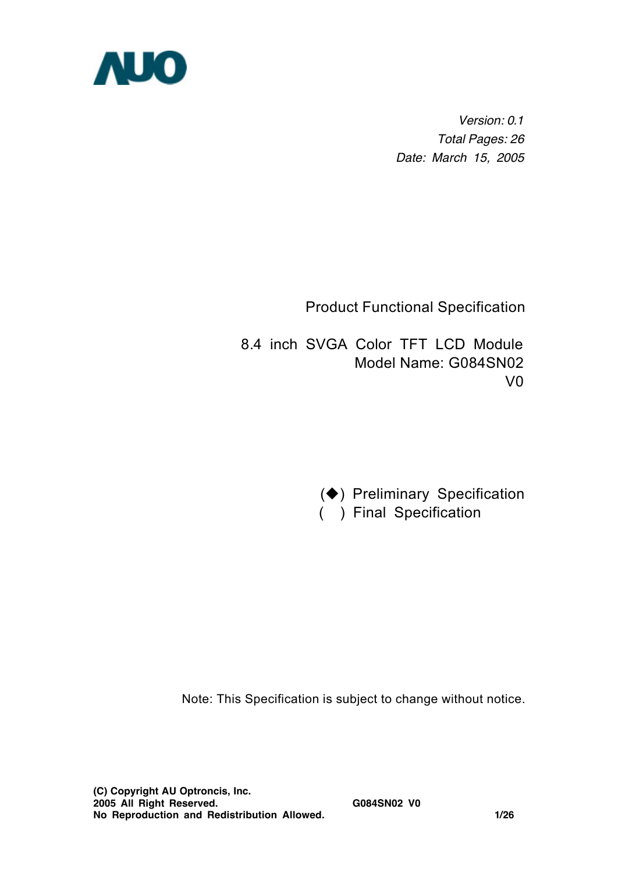

*Version: 0.1 Total Pages: 26 Date: March 15, 2005*

Product Functional Specification

 8.4 inch SVGA Color TFT LCD Module Model Name: G084SN02 V0

( $\blacklozenge$ ) Preliminary Specification

( ) Final Specification

Note: This Specification is subject to change without notice.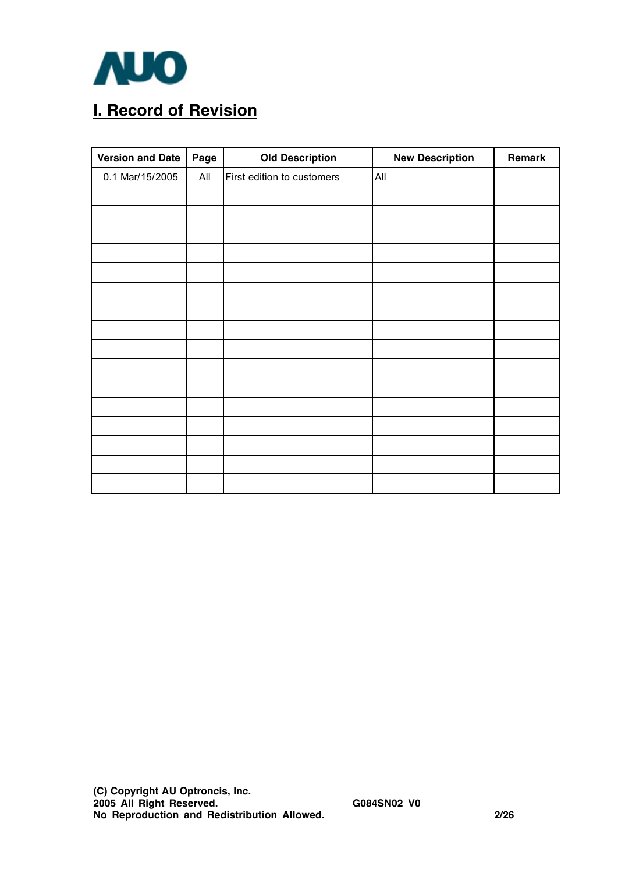

# **I. Record of Revision**

| <b>Version and Date</b> | Page | <b>Old Description</b>     | <b>New Description</b> | Remark |
|-------------------------|------|----------------------------|------------------------|--------|
| 0.1 Mar/15/2005         | All  | First edition to customers | All                    |        |
|                         |      |                            |                        |        |
|                         |      |                            |                        |        |
|                         |      |                            |                        |        |
|                         |      |                            |                        |        |
|                         |      |                            |                        |        |
|                         |      |                            |                        |        |
|                         |      |                            |                        |        |
|                         |      |                            |                        |        |
|                         |      |                            |                        |        |
|                         |      |                            |                        |        |
|                         |      |                            |                        |        |
|                         |      |                            |                        |        |
|                         |      |                            |                        |        |
|                         |      |                            |                        |        |
|                         |      |                            |                        |        |
|                         |      |                            |                        |        |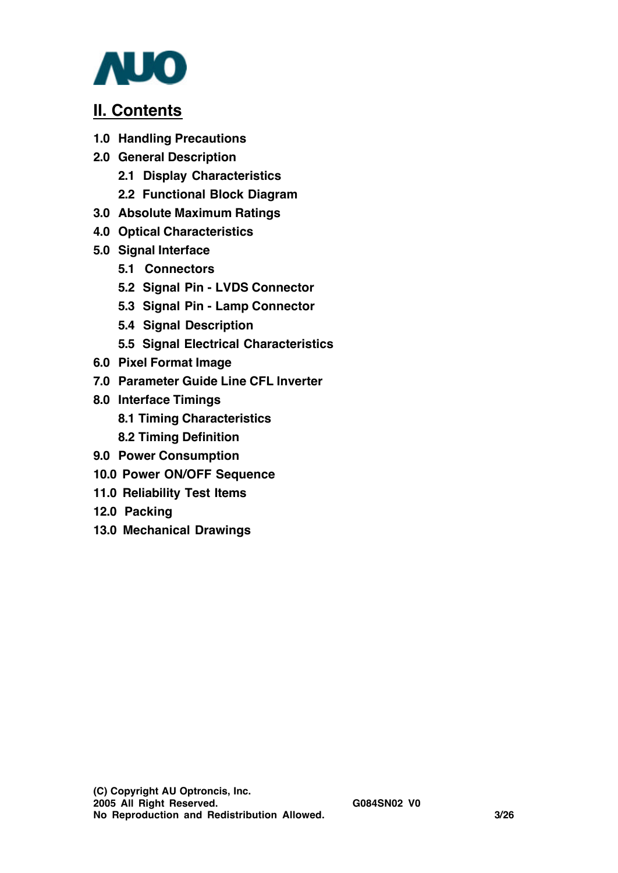

## **II. Contents**

- **1.0 Handling Precautions**
- **2.0 General Description**
	- **2.1 Display Characteristics**
	- **2.2 Functional Block Diagram**
- **3.0 Absolute Maximum Ratings**
- **4.0 Optical Characteristics**
- **5.0 Signal Interface**
	- **5.1 Connectors**
	- **5.2 Signal Pin LVDS Connector**
	- **5.3 Signal Pin Lamp Connector**
	- **5.4 Signal Description**
	- **5.5 Signal Electrical Characteristics**
- **6.0 Pixel Format Image**
- **7.0 Parameter Guide Line CFL Inverter**
- **8.0 Interface Timings**
	- **8.1 Timing Characteristics**
	- **8.2 Timing Definition**
- **9.0 Power Consumption**
- **10.0 Power ON/OFF Sequence**
- **11.0 Reliability Test Items**
- **12.0 Packing**
- **13.0 Mechanical Drawings**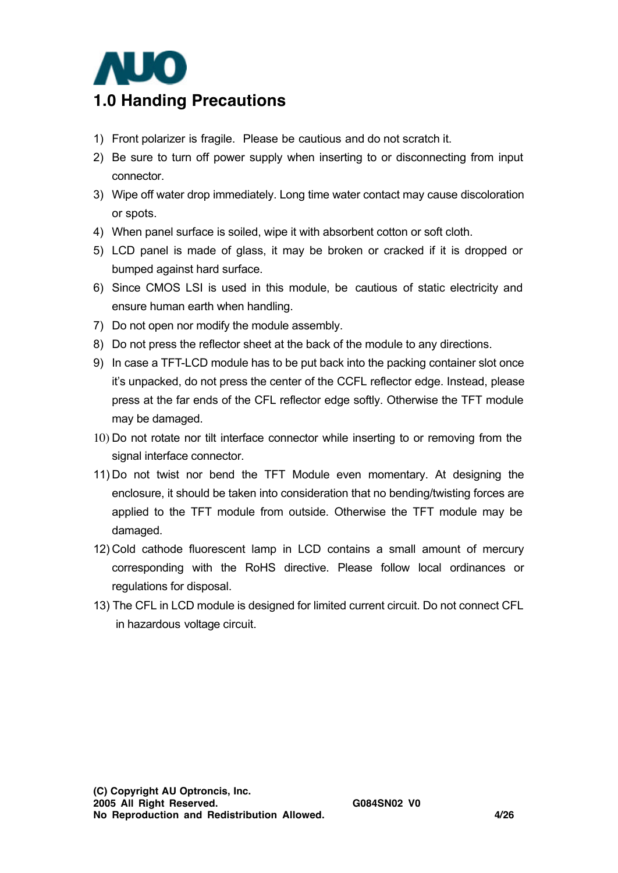

- 1) Front polarizer is fragile. Please be cautious and do not scratch it.
- 2) Be sure to turn off power supply when inserting to or disconnecting from input connector.
- 3) Wipe off water drop immediately. Long time water contact may cause discoloration or spots.
- 4) When panel surface is soiled, wipe it with absorbent cotton or soft cloth.
- 5) LCD panel is made of glass, it may be broken or cracked if it is dropped or bumped against hard surface.
- 6) Since CMOS LSI is used in this module, be cautious of static electricity and ensure human earth when handling.
- 7) Do not open nor modify the module assembly.
- 8) Do not press the reflector sheet at the back of the module to any directions.
- 9) In case a TFT-LCD module has to be put back into the packing container slot once it's unpacked, do not press the center of the CCFL reflector edge. Instead, please press at the far ends of the CFL reflector edge softly. Otherwise the TFT module may be damaged.
- 10) Do not rotate nor tilt interface connector while inserting to or removing from the signal interface connector.
- 11) Do not twist nor bend the TFT Module even momentary. At designing the enclosure, it should be taken into consideration that no bending/twisting forces are applied to the TFT module from outside. Otherwise the TFT module may be damaged.
- 12) Cold cathode fluorescent lamp in LCD contains a small amount of mercury corresponding with the RoHS directive. Please follow local ordinances or regulations for disposal.
- 13) The CFL in LCD module is designed for limited current circuit. Do not connect CFL in hazardous voltage circuit.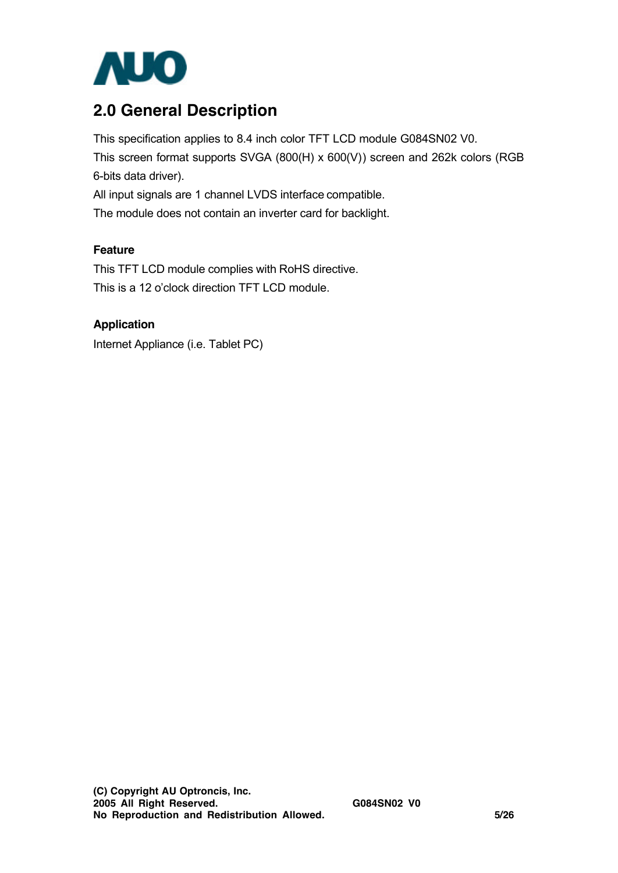

# **2.0 General Description**

This specification applies to 8.4 inch color TFT LCD module G084SN02 V0. This screen format supports SVGA (800(H) x 600(V)) screen and 262k colors (RGB 6-bits data driver). All input signals are 1 channel LVDS interface compatible.

The module does not contain an inverter card for backlight.

### **Feature**

This TFT LCD module complies with RoHS directive. This is a 12 o'clock direction TFT LCD module.

#### **Application**

Internet Appliance (i.e. Tablet PC)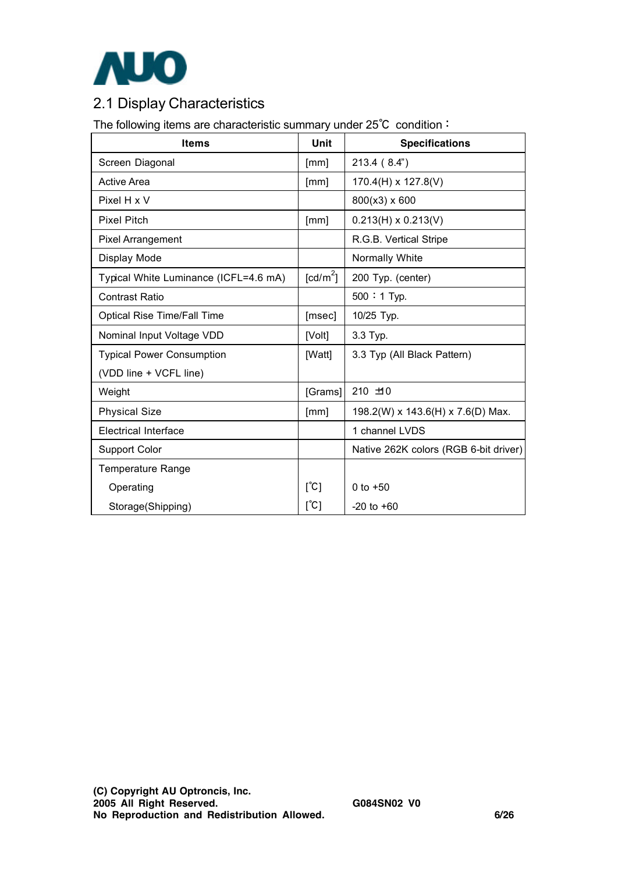

## 2.1 Display Characteristics

The following items are characteristic summary under 25℃ condition:

| <b>Items</b>                          | Unit                 | <b>Specifications</b>                 |
|---------------------------------------|----------------------|---------------------------------------|
| Screen Diagonal                       | [mm]                 | 213.4 (8.4")                          |
| <b>Active Area</b>                    | [mm]                 | $170.4(H) \times 127.8(V)$            |
| Pixel H x V                           |                      | 800(x3) x 600                         |
| <b>Pixel Pitch</b>                    | [mm]                 | $0.213(H) \times 0.213(V)$            |
| <b>Pixel Arrangement</b>              |                      | R.G.B. Vertical Stripe                |
| Display Mode                          |                      | Normally White                        |
| Typical White Luminance (ICFL=4.6 mA) | [cd/m <sup>2</sup> ] | 200 Typ. (center)                     |
| <b>Contrast Ratio</b>                 |                      | 500:1 Typ.                            |
| <b>Optical Rise Time/Fall Time</b>    | [msec]               | 10/25 Typ.                            |
| Nominal Input Voltage VDD             | [Volt]               | 3.3 Typ.                              |
| <b>Typical Power Consumption</b>      | [Watt]               | 3.3 Typ (All Black Pattern)           |
| (VDD line + VCFL line)                |                      |                                       |
| Weight                                | [Grams]              | $210 + 10$                            |
| <b>Physical Size</b>                  | [mm]                 | 198.2(W) x 143.6(H) x 7.6(D) Max.     |
| <b>Electrical Interface</b>           |                      | 1 channel LVDS                        |
| <b>Support Color</b>                  |                      | Native 262K colors (RGB 6-bit driver) |
| <b>Temperature Range</b>              |                      |                                       |
| Operating                             | $[^{\circ}C]$        | 0 to $+50$                            |
| Storage(Shipping)                     | [°C]                 | $-20$ to $+60$                        |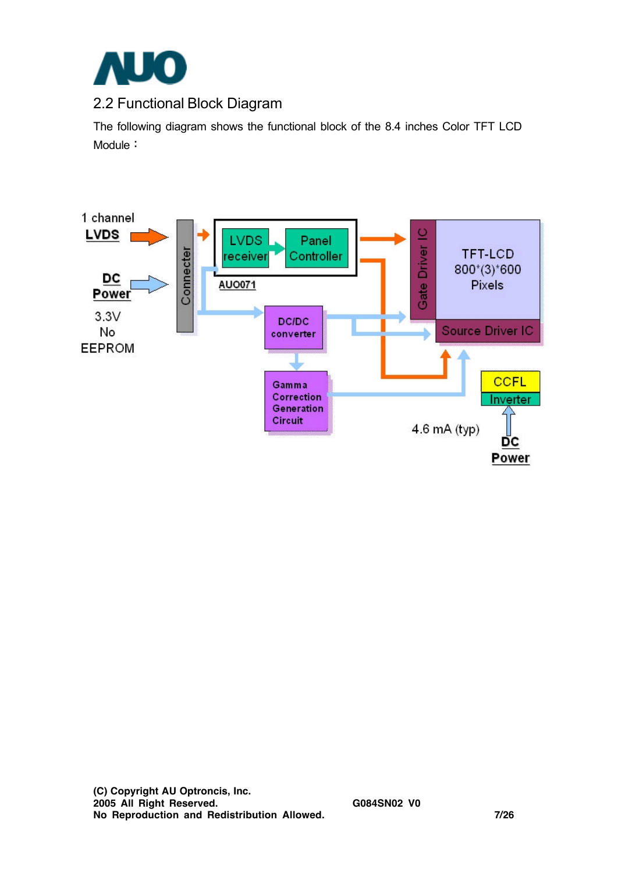

### 2.2 Functional Block Diagram

The following diagram shows the functional block of the 8.4 inches Color TFT LCD Module:

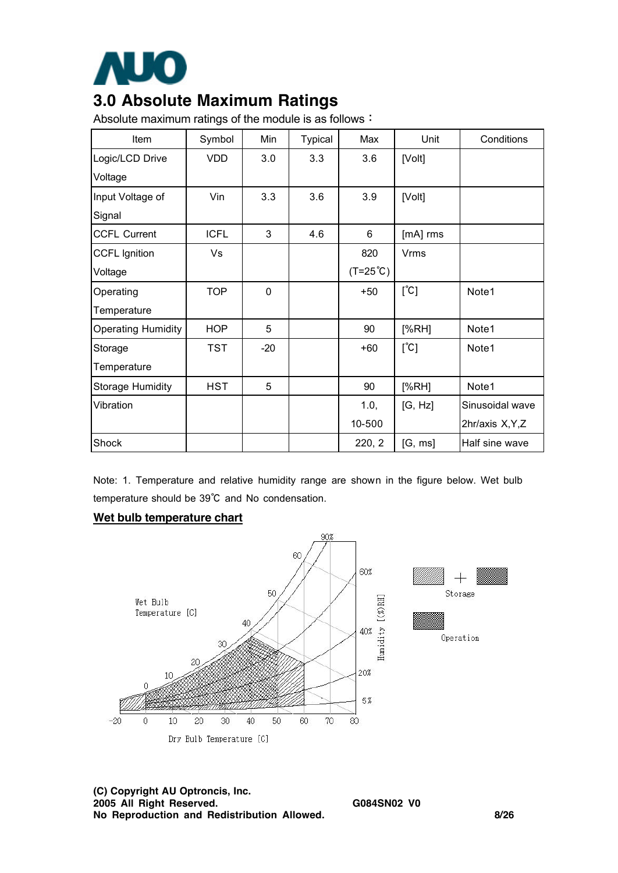

# **3.0 Absolute Maximum Ratings**

Absolute maximum ratings of the module is as follows:

| Item                      | Symbol      | Min         | <b>Typical</b> | Max               | Unit          | Conditions       |
|---------------------------|-------------|-------------|----------------|-------------------|---------------|------------------|
| Logic/LCD Drive           | <b>VDD</b>  | 3.0         | 3.3            | 3.6               | [Volt]        |                  |
| Voltage                   |             |             |                |                   |               |                  |
| Input Voltage of          | Vin         | 3.3         | 3.6            | 3.9               | [Volt]        |                  |
| Signal                    |             |             |                |                   |               |                  |
| <b>CCFL Current</b>       | <b>ICFL</b> | 3           | 4.6            | 6                 | [mA] rms      |                  |
| <b>CCFL Ignition</b>      | Vs          |             |                | 820               | <b>Vrms</b>   |                  |
| Voltage                   |             |             |                | $(T=25^{\circ}C)$ |               |                  |
| Operating                 | <b>TOP</b>  | $\mathbf 0$ |                | $+50$             | $[^{\circ}C]$ | Note1            |
| Temperature               |             |             |                |                   |               |                  |
| <b>Operating Humidity</b> | <b>HOP</b>  | 5           |                | 90                | [%RH]         | Note1            |
| Storage                   | <b>TST</b>  | $-20$       |                | $+60$             | $[^{\circ}C]$ | Note1            |
| Temperature               |             |             |                |                   |               |                  |
| <b>Storage Humidity</b>   | <b>HST</b>  | 5           |                | 90                | [%RH]         | Note1            |
| Vibration                 |             |             |                | 1.0,              | [G, Hz]       | Sinusoidal wave  |
|                           |             |             |                | 10-500            |               | 2hr/axis X, Y, Z |
| Shock                     |             |             |                | 220, 2            | [G, ms]       | Half sine wave   |

Note: 1. Temperature and relative humidity range are shown in the figure below. Wet bulb temperature should be 39℃ and No condensation.

#### **Wet bulb temperature chart**

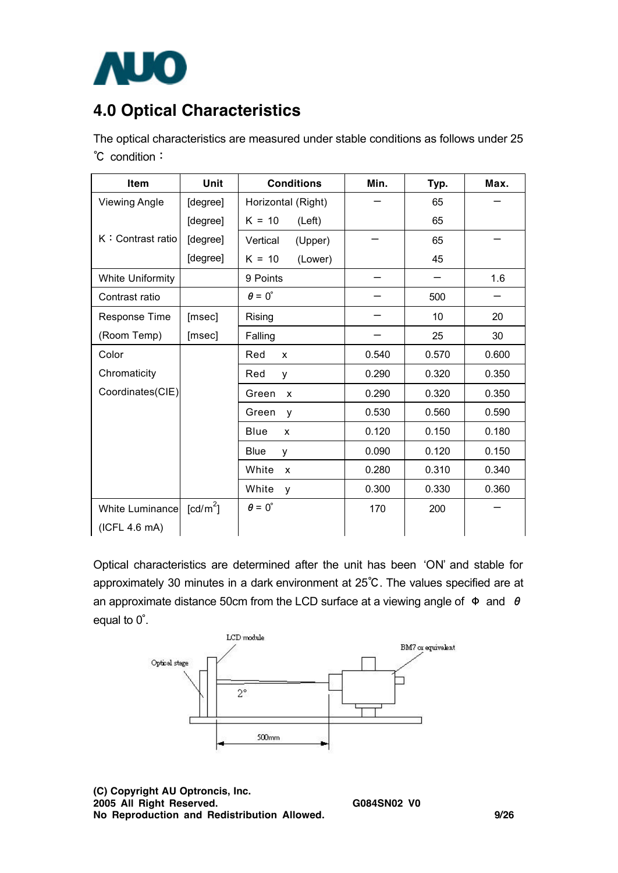

# **4.0 Optical Characteristics**

The optical characteristics are measured under stable conditions as follows under 25 ℃ condition:

| Item                    | Unit                 | <b>Conditions</b>    | Min.  | Typ.  | Max.  |
|-------------------------|----------------------|----------------------|-------|-------|-------|
| <b>Viewing Angle</b>    | [degree]             | Horizontal (Right)   |       | 65    |       |
|                         | [degree]             | $K = 10$<br>(Left)   |       | 65    |       |
| K: Contrast ratio       | [degree]             | Vertical<br>(Upper)  |       | 65    |       |
|                         | [degree]             | $K = 10$<br>(Lower)  |       | 45    |       |
| <b>White Uniformity</b> |                      | 9 Points             |       |       | 1.6   |
| Contrast ratio          |                      | $\theta = 0^{\circ}$ |       | 500   |       |
| Response Time           | [msec]               | Rising               |       | 10    | 20    |
| (Room Temp)             | [msec]               | Falling              |       | 25    | 30    |
| Color                   |                      | Red<br>X             | 0.540 | 0.570 | 0.600 |
| Chromaticity            |                      | Red<br>y             | 0.290 | 0.320 | 0.350 |
| Coordinates(CIE)        |                      | Green<br>X           | 0.290 | 0.320 | 0.350 |
|                         |                      | Green<br>y           | 0.530 | 0.560 | 0.590 |
|                         |                      | Blue<br>X            | 0.120 | 0.150 | 0.180 |
|                         |                      | <b>Blue</b><br>y     | 0.090 | 0.120 | 0.150 |
|                         |                      | White<br>X           | 0.280 | 0.310 | 0.340 |
|                         |                      | White<br>y           | 0.300 | 0.330 | 0.360 |
| White Luminance         | [cd/m <sup>2</sup> ] | $\theta = 0^{\circ}$ | 170   | 200   |       |
| (ICFL 4.6 mA)           |                      |                      |       |       |       |

Optical characteristics are determined after the unit has been 'ON' and stable for approximately 30 minutes in a dark environment at 25℃. The values specified are at an approximate distance 50cm from the LCD surface at a viewing angle of  $\Phi$  and  $\theta$ equal to 0∘.



**(C) Copyright AU Optroncis, Inc. 2005 All Right Reserved. G084SN02 V0 No Reproduction and Redistribution Allowed. 9/26**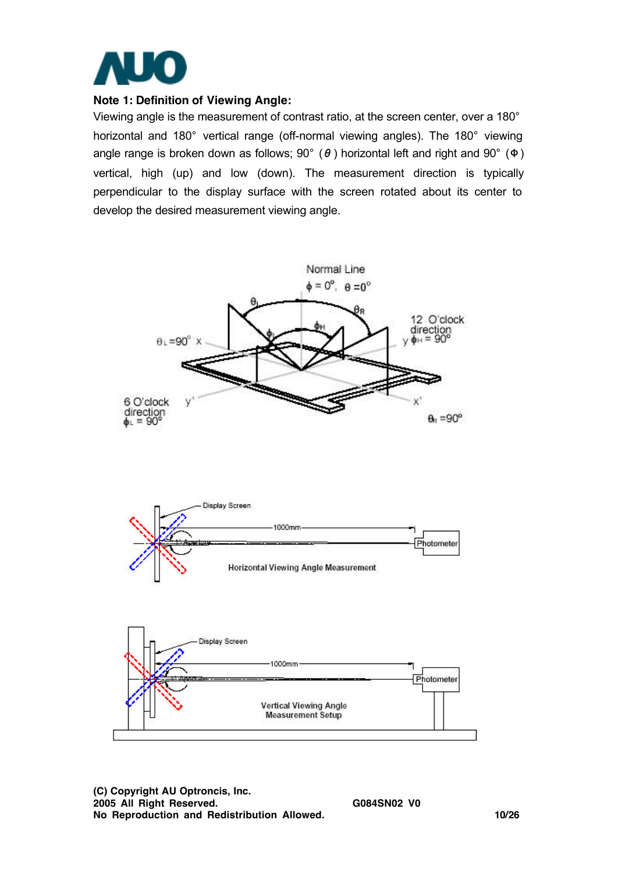

#### **Note 1: Definition of Viewing Angle:**

Viewing angle is the measurement of contrast ratio, at the screen center, over a 180° horizontal and 180° vertical range (off-normal viewing angles). The 180° viewing angle range is broken down as follows;  $90^{\circ}$  ( $\theta$ ) horizontal left and right and  $90^{\circ}$  ( $\Phi$ ) vertical, high (up) and low (down). The measurement direction is typically perpendicular to the display surface with the screen rotated about its center to develop the desired measurement viewing angle.



**(C) Copyright AU Optroncis, Inc. 2005 All Right Reserved. G084SN02 V0 No Reproduction and Redistribution Allowed. 10/26**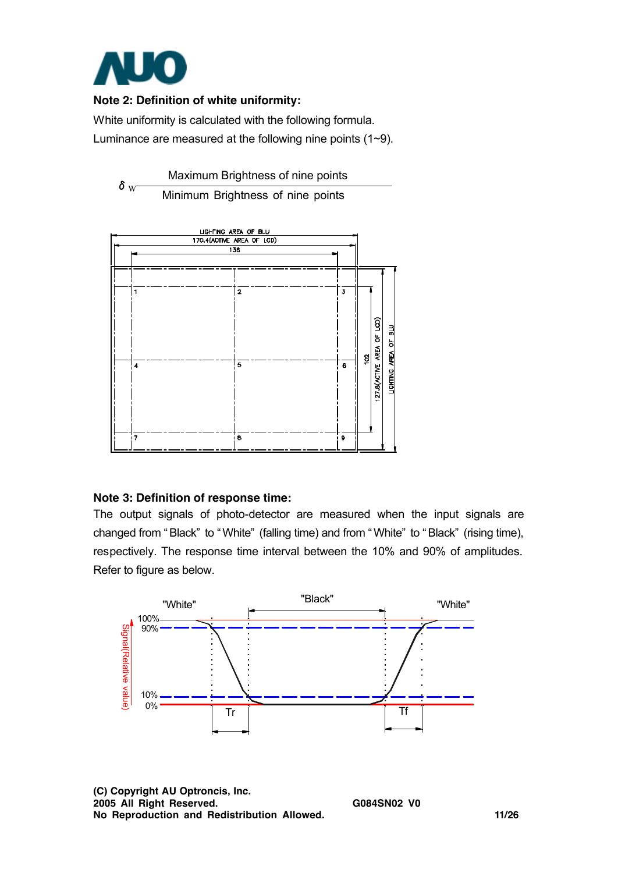

### **Note 2: Definition of white uniformity:**

White uniformity is calculated with the following formula. Luminance are measured at the following nine points (1~9).



Minimum Brightness of nine points



#### **Note 3: Definition of response time:**

The output signals of photo-detector are measured when the input signals are changed from " Black" to " White" (falling time) and from " White" to " Black" (rising time), respectively. The response time interval between the 10% and 90% of amplitudes. Refer to figure as below.



**(C) Copyright AU Optroncis, Inc. 2005 All Right Reserved. G084SN02 V0 No Reproduction and Redistribution Allowed. 11/26**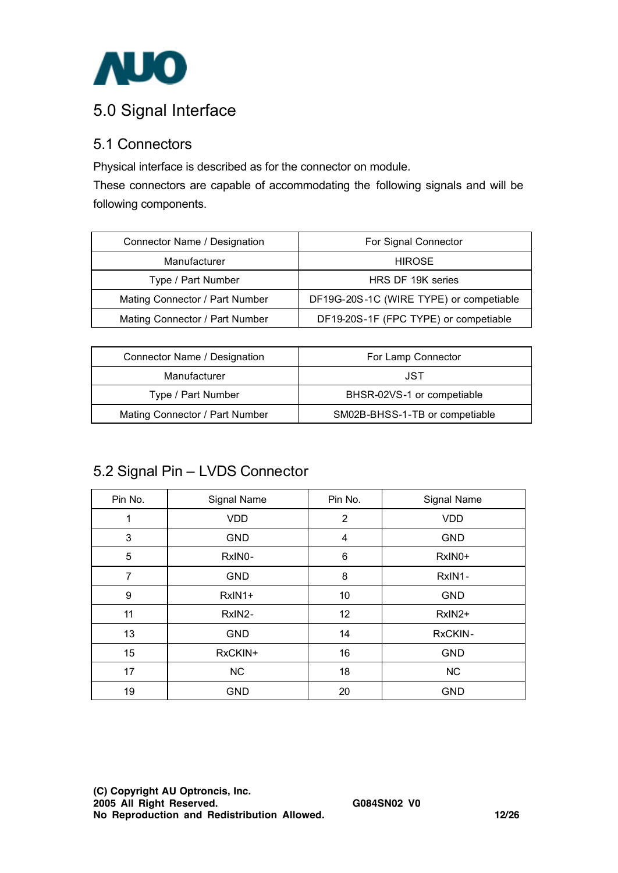

# 5.0 Signal Interface

### 5.1 Connectors

Physical interface is described as for the connector on module.

These connectors are capable of accommodating the following signals and will be following components.

| Connector Name / Designation   | For Signal Connector                    |
|--------------------------------|-----------------------------------------|
| Manufacturer                   | <b>HIROSE</b>                           |
| Type / Part Number             | HRS DF 19K series                       |
| Mating Connector / Part Number | DF19G-20S-1C (WIRE TYPE) or competiable |
| Mating Connector / Part Number | DF19-20S-1F (FPC TYPE) or competiable   |

| Connector Name / Designation   | For Lamp Connector             |
|--------------------------------|--------------------------------|
| Manufacturer                   | JST                            |
| Type / Part Number             | BHSR-02VS-1 or competiable     |
| Mating Connector / Part Number | SM02B-BHSS-1-TB or competiable |

### 5.2 Signal Pin – LVDS Connector

| Pin No.        | Signal Name | Pin No. | Signal Name |
|----------------|-------------|---------|-------------|
| 1              | <b>VDD</b>  | 2       | <b>VDD</b>  |
| 3              | <b>GND</b>  | 4       | <b>GND</b>  |
| 5              | RxIN0-      | 6       | RxIN0+      |
| $\overline{7}$ | <b>GND</b>  | 8       | RxIN1-      |
| 9              | RxIN1+      | 10      | <b>GND</b>  |
| 11             | RxIN2-      | 12      | RxIN2+      |
| 13             | <b>GND</b>  | 14      | RxCKIN-     |
| 15             | RxCKIN+     | 16      | <b>GND</b>  |
| 17             | <b>NC</b>   | 18      | NC          |
| 19             | <b>GND</b>  | 20      | <b>GND</b>  |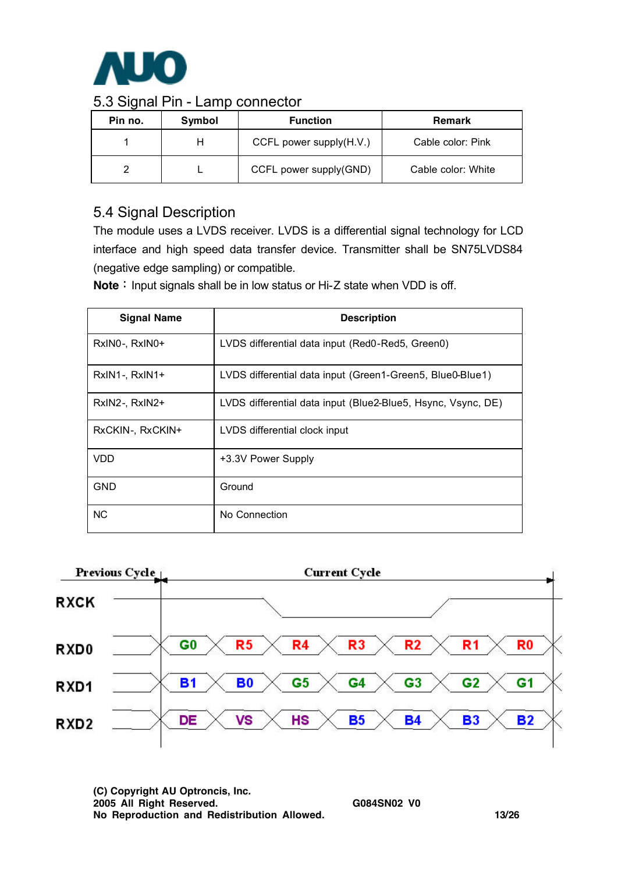

### 5.3 Signal Pin - Lamp connector

| Pin no. | <b>Symbol</b> | <b>Function</b>         | <b>Remark</b>      |
|---------|---------------|-------------------------|--------------------|
|         |               | CCFL power supply(H.V.) | Cable color: Pink  |
|         |               | CCFL power supply(GND)  | Cable color: White |

### 5.4 Signal Description

The module uses a LVDS receiver. LVDS is a differential signal technology for LCD interface and high speed data transfer device. Transmitter shall be SN75LVDS84 (negative edge sampling) or compatible.

**Note**: Input signals shall be in low status or Hi-Z state when VDD is off.

| <b>Signal Name</b> | <b>Description</b>                                           |
|--------------------|--------------------------------------------------------------|
| RxIN0-, RxIN0+     | LVDS differential data input (Red0-Red5, Green0)             |
| RxIN1-, RxIN1+     | LVDS differential data input (Green1-Green5, Blue0-Blue1)    |
| RxIN2-, RxIN2+     | LVDS differential data input (Blue2-Blue5, Hsync, Vsync, DE) |
| RxCKIN-, RxCKIN+   | LVDS differential clock input                                |
| <b>VDD</b>         | +3.3V Power Supply                                           |
| <b>GND</b>         | Ground                                                       |
| <b>NC</b>          | No Connection                                                |



**(C) Copyright AU Optroncis, Inc. 2005 All Right Reserved. G084SN02 V0 No Reproduction and Redistribution Allowed. 13/26**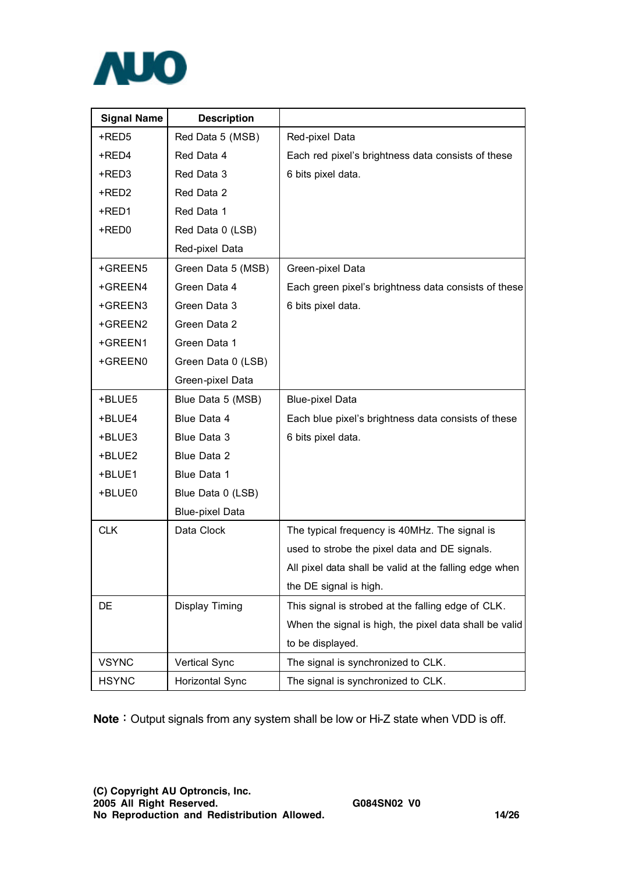

| <b>Signal Name</b> | <b>Description</b>     |                                                        |
|--------------------|------------------------|--------------------------------------------------------|
| +RED5              | Red Data 5 (MSB)       | Red-pixel Data                                         |
| +RED4              | Red Data 4             | Each red pixel's brightness data consists of these     |
| +RED3              | Red Data 3             | 6 bits pixel data.                                     |
| +RED2              | Red Data 2             |                                                        |
| +RED1              | Red Data 1             |                                                        |
| +RED0              | Red Data 0 (LSB)       |                                                        |
|                    | Red-pixel Data         |                                                        |
| +GREEN5            | Green Data 5 (MSB)     | Green-pixel Data                                       |
| +GREEN4            | Green Data 4           | Each green pixel's brightness data consists of these   |
| +GREEN3            | Green Data 3           | 6 bits pixel data.                                     |
| +GREEN2            | Green Data 2           |                                                        |
| +GREEN1            | Green Data 1           |                                                        |
| +GREEN0            | Green Data 0 (LSB)     |                                                        |
|                    | Green-pixel Data       |                                                        |
| +BLUE5             | Blue Data 5 (MSB)      | <b>Blue-pixel Data</b>                                 |
| +BLUE4             | Blue Data 4            | Each blue pixel's brightness data consists of these    |
| +BLUE3             | Blue Data 3            | 6 bits pixel data.                                     |
| +BLUE2             | Blue Data 2            |                                                        |
| +BLUE1             | Blue Data 1            |                                                        |
| +BLUE0             | Blue Data 0 (LSB)      |                                                        |
|                    | <b>Blue-pixel Data</b> |                                                        |
| <b>CLK</b>         | Data Clock             | The typical frequency is 40MHz. The signal is          |
|                    |                        | used to strobe the pixel data and DE signals.          |
|                    |                        | All pixel data shall be valid at the falling edge when |
|                    |                        | the DE signal is high.                                 |
| DE                 | <b>Display Timing</b>  | This signal is strobed at the falling edge of CLK.     |
|                    |                        | When the signal is high, the pixel data shall be valid |
|                    |                        | to be displayed.                                       |
| <b>VSYNC</b>       | <b>Vertical Sync</b>   | The signal is synchronized to CLK.                     |
| <b>HSYNC</b>       | Horizontal Sync        | The signal is synchronized to CLK.                     |

**Note**: Output signals from any system shall be low or Hi-Z state when VDD is off.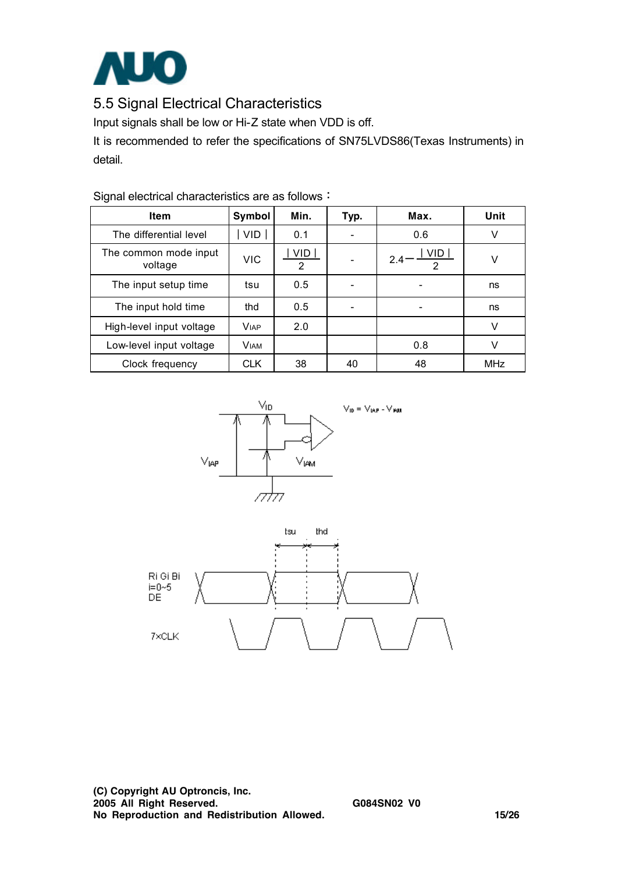

## 5.5 Signal Electrical Characteristics

Input signals shall be low or Hi-Z state when VDD is off.

It is recommended to refer the specifications of SN75LVDS86(Texas Instruments) in detail.

| <b>Item</b>                      | Symbol      | Min.                         | Typ. | Max.                         | Unit       |
|----------------------------------|-------------|------------------------------|------|------------------------------|------------|
| The differential level           | <b>VID</b>  | 0.1                          |      | 0.6                          | V          |
| The common mode input<br>voltage | <b>VIC</b>  | <b>VID</b><br>$\overline{2}$ |      | VID.<br>2.4<br>$\mathcal{P}$ | v          |
| The input setup time             | tsu         | 0.5                          |      |                              | ns         |
| The input hold time              | thd         | 0.5                          |      |                              | ns         |
| High-level input voltage         | <b>VIAP</b> | 2.0                          |      |                              | V          |
| Low-level input voltage          | <b>VIAM</b> |                              |      | 0.8                          | v          |
| Clock frequency                  | <b>CLK</b>  | 38                           | 40   | 48                           | <b>MHz</b> |

Signal electrical characteristics are as follows:



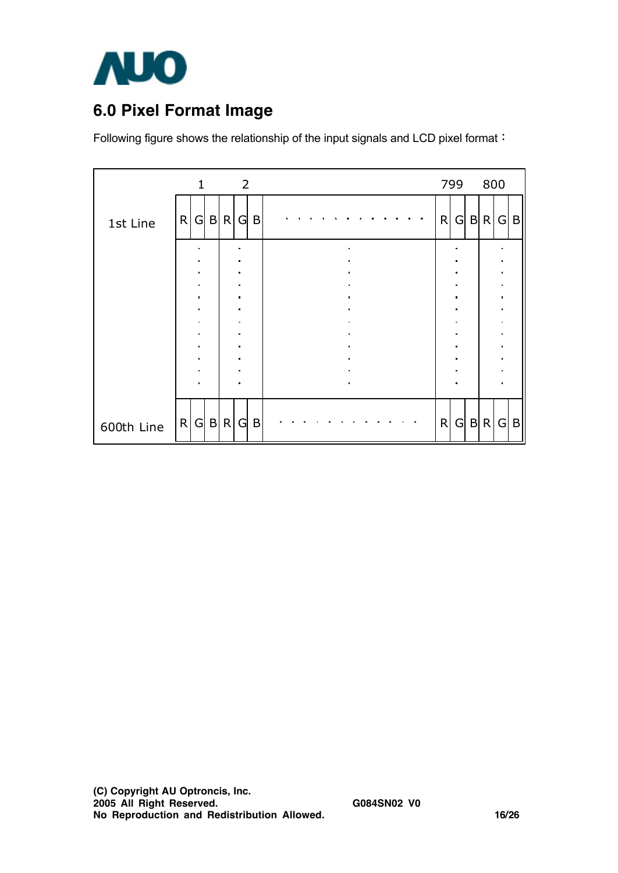

# **6.0 Pixel Format Image**

Following figure shows the relationship of the input signals and LCD pixel format:

|            | $\mathbf{1}$   | $\overline{2}$      |                |   | 799                              | 800            |              |
|------------|----------------|---------------------|----------------|---|----------------------------------|----------------|--------------|
| 1st Line   | R<br>G B R     | B<br>G.             |                | R | G                                | B R G          | $\mathsf{B}$ |
|            |                | ٠                   | $\blacksquare$ |   | п<br>$\blacksquare$              |                |              |
|            |                |                     |                |   |                                  |                |              |
|            | ٠              | $\blacksquare$      |                |   | $\blacksquare$                   |                |              |
|            | $\blacksquare$ | $\blacksquare$      | $\blacksquare$ |   | $\blacksquare$<br>$\blacksquare$ | $\blacksquare$ |              |
|            |                |                     |                |   |                                  |                |              |
|            | $\blacksquare$ | $\blacksquare$      | $\blacksquare$ |   | $\blacksquare$                   | $\blacksquare$ |              |
|            | $\blacksquare$ | п                   | ٠              |   | $\blacksquare$                   |                |              |
|            | ٠              | $\blacksquare$<br>٠ | $\blacksquare$ |   | Ξ<br>$\blacksquare$              |                |              |
|            |                | $\blacksquare$      | $\blacksquare$ |   | $\blacksquare$                   |                |              |
|            |                |                     |                |   |                                  |                |              |
| 600th Line | R G B R        | G.<br>B             |                | R |                                  | G B R G        | $\vert$ B    |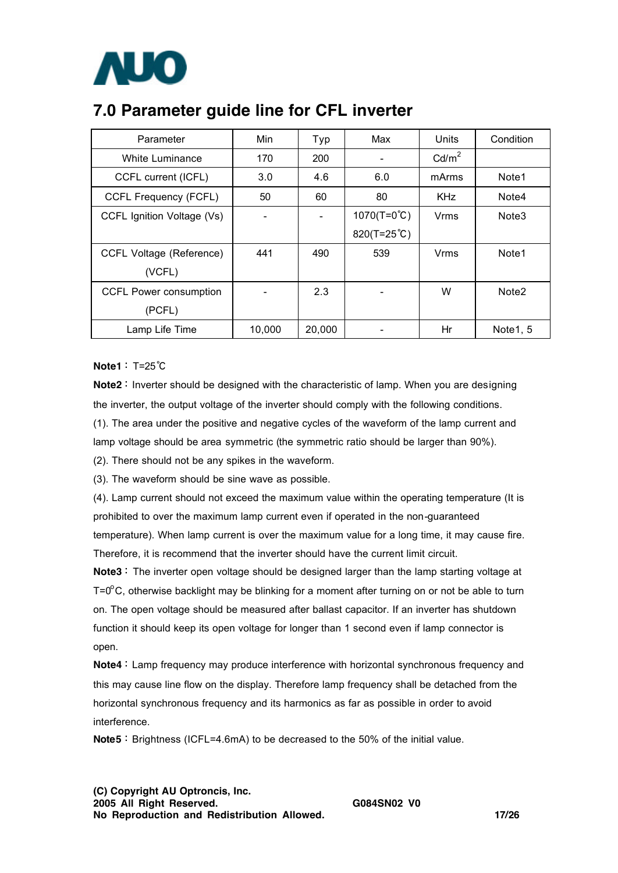

## **7.0 Parameter guide line for CFL inverter**

| Parameter                     | Min    | Typ    | Max                  | <b>Units</b>      | Condition         |
|-------------------------------|--------|--------|----------------------|-------------------|-------------------|
| White Luminance               | 170    | 200    |                      | Cd/m <sup>2</sup> |                   |
| CCFL current (ICFL)           | 3.0    | 4.6    | 6.0                  | mArms             | Note1             |
| CCFL Frequency (FCFL)         | 50     | 60     | 80                   | <b>KHz</b>        | Note4             |
| CCFL Ignition Voltage (Vs)    |        |        | $1070(T=0^{\circ}C)$ | Vrms              | Note <sub>3</sub> |
|                               |        |        | 820(T=25°C)          |                   |                   |
| CCFL Voltage (Reference)      | 441    | 490    | 539                  | Vrms              | Note1             |
| (VCFL)                        |        |        |                      |                   |                   |
| <b>CCFL Power consumption</b> |        | 2.3    |                      | W                 | Note <sub>2</sub> |
| (PCFL)                        |        |        |                      |                   |                   |
| Lamp Life Time                | 10,000 | 20,000 |                      | Hr                | Note1, 5          |

**Note1**: T=25℃

**Note2**: Inverter should be designed with the characteristic of lamp. When you are designing the inverter, the output voltage of the inverter should comply with the following conditions. (1). The area under the positive and negative cycles of the waveform of the lamp current and lamp voltage should be area symmetric (the symmetric ratio should be larger than 90%).

(2). There should not be any spikes in the waveform.

(3). The waveform should be sine wave as possible.

(4). Lamp current should not exceed the maximum value within the operating temperature (It is prohibited to over the maximum lamp current even if operated in the non-guaranteed temperature). When lamp current is over the maximum value for a long time, it may cause fire. Therefore, it is recommend that the inverter should have the current limit circuit.

Note3: The inverter open voltage should be designed larger than the lamp starting voltage at T=0 $\rm{^o}$ C, otherwise backlight may be blinking for a moment after turning on or not be able to turn on. The open voltage should be measured after ballast capacitor. If an inverter has shutdown function it should keep its open voltage for longer than 1 second even if lamp connector is open.

**Note4**: Lamp frequency may produce interference with horizontal synchronous frequency and this may cause line flow on the display. Therefore lamp frequency shall be detached from the horizontal synchronous frequency and its harmonics as far as possible in order to avoid interference.

**Note5**: Brightness (ICFL=4.6mA) to be decreased to the 50% of the initial value.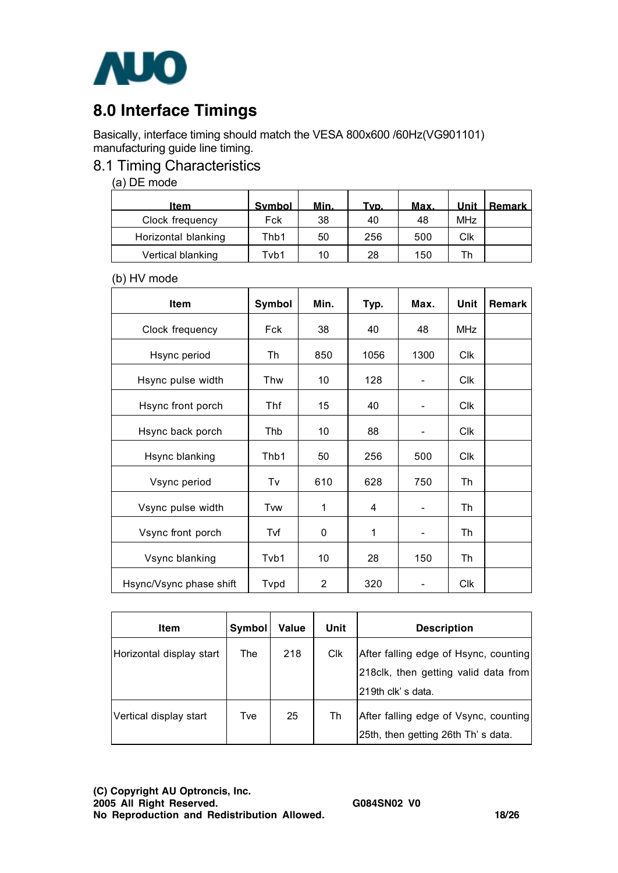

# **8.0 Interface Timings**

Basically, interface timing should match the VESA 800x600 /60Hz(VG901101) manufacturing guide line timing.

### 8.1 Timing Characteristics

(a) DE mode

| Item                | <b>Symbol</b> | Min. | Tvp. | Max. | Unit       | l Remark l |
|---------------------|---------------|------|------|------|------------|------------|
| Clock frequency     | Fck           | 38   | 40   | 48   | <b>MHz</b> |            |
| Horizontal blanking | Thb1          | 50   | 256  | 500  | Clk        |            |
| Vertical blanking   | Tvb1          | 10   | 28   | 150  | ۳h         |            |

(b) HV mode

| Item                    | Symbol | Min.           | Typ. | Max.                     | Unit       | Remark |
|-------------------------|--------|----------------|------|--------------------------|------------|--------|
| Clock frequency         | Fck    | 38             | 40   | 48                       | <b>MHz</b> |        |
| Hsync period            | Th     | 850            | 1056 | 1300                     | <b>Clk</b> |        |
| Hsync pulse width       | Thw    | 10             | 128  |                          | Clk        |        |
| Hsync front porch       | Thf    | 15             | 40   |                          | <b>Clk</b> |        |
| Hsync back porch        | Thb    | 10             | 88   |                          | <b>Clk</b> |        |
| Hsync blanking          | Thb1   | 50             | 256  | 500                      | Clk        |        |
| Vsync period            | Tv     | 610            | 628  | 750                      | Th         |        |
| Vsync pulse width       | Tvw    | 1              | 4    | $\overline{\phantom{0}}$ | Th         |        |
| Vsync front porch       | Tvf    | $\mathbf 0$    | 1    | $\overline{\phantom{0}}$ | Th         |        |
| Vsync blanking          | Tvb1   | 10             | 28   | 150                      | Th         |        |
| Hsync/Vsync phase shift | Tvpd   | $\overline{2}$ | 320  |                          | <b>Clk</b> |        |

| Item                     | Symbol | Value | Unit                  | <b>Description</b>                                                                                  |
|--------------------------|--------|-------|-----------------------|-----------------------------------------------------------------------------------------------------|
| Horizontal display start | The    | 218   | <b>C<sub>IK</sub></b> | After falling edge of Hsync, counting<br>218 clk, then getting valid data from<br>219th clk's data. |
| Vertical display start   | Tve    | 25    | Th                    | After falling edge of Vsync, counting<br>25th, then getting 26th Th's data.                         |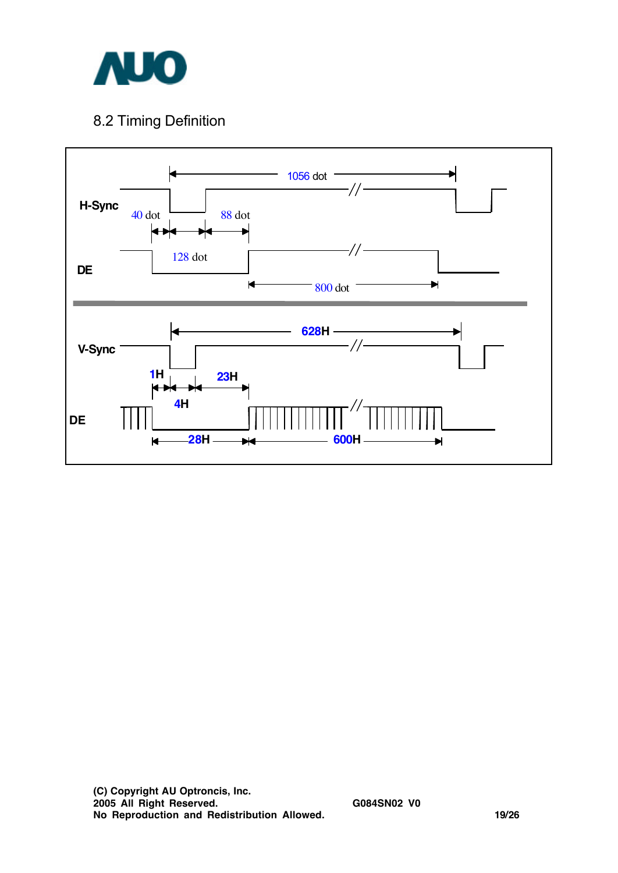

## 8.2 Timing Definition

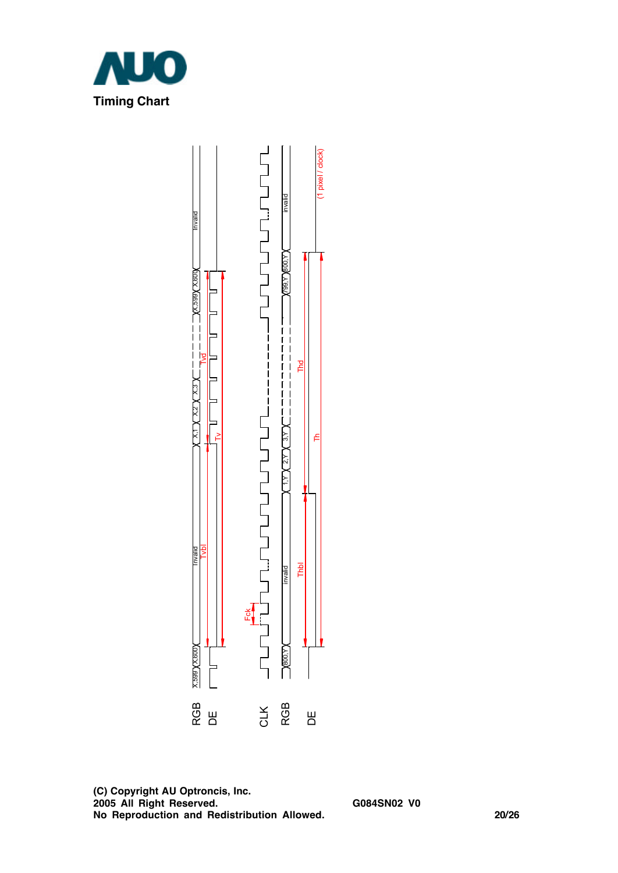

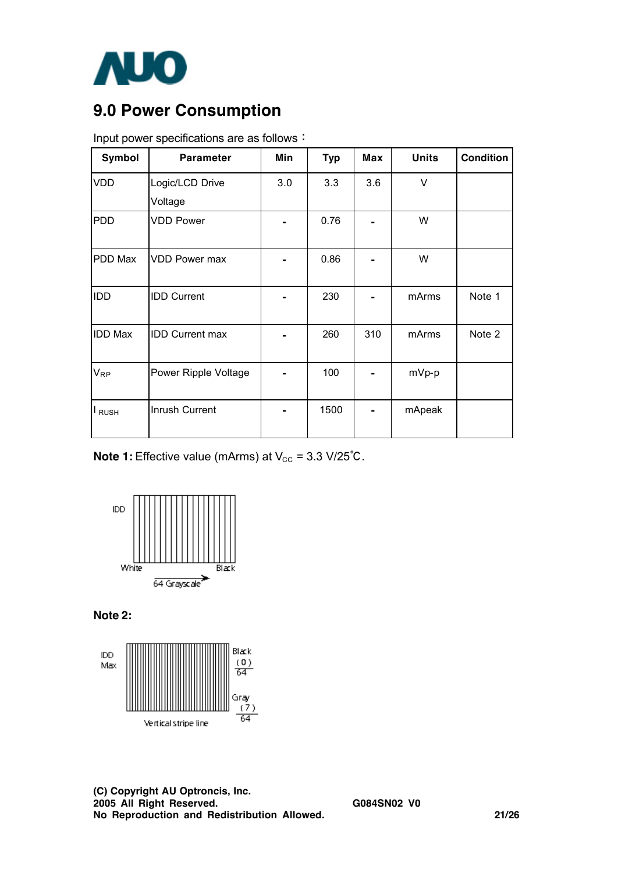

# **9.0 Power Consumption**

| Symbol            | <b>Parameter</b>       | Min | <b>Typ</b> | Max | <b>Units</b> | <b>Condition</b> |
|-------------------|------------------------|-----|------------|-----|--------------|------------------|
| <b>VDD</b>        | Logic/LCD Drive        | 3.0 | 3.3        | 3.6 | $\vee$       |                  |
|                   | Voltage                |     |            |     |              |                  |
| <b>PDD</b>        | <b>VDD Power</b>       |     | 0.76       |     | W            |                  |
| PDD Max           | <b>VDD Power max</b>   |     | 0.86       |     | W            |                  |
| <b>IDD</b>        | <b>IDD Current</b>     |     | 230        |     | mArms        | Note 1           |
| <b>IDD Max</b>    | <b>IDD Current max</b> |     | 260        | 310 | mArms        | Note 2           |
| $V_{\mathsf{RP}}$ | Power Ripple Voltage   |     | 100        |     | mVp-p        |                  |
| I RUSH            | Inrush Current         |     | 1500       |     | mApeak       |                  |

Input power specifications are as follows:

**Note 1:** Effective value (mArms) at  $V_{CC}$  = 3.3 V/25°C.



**Note 2:** 

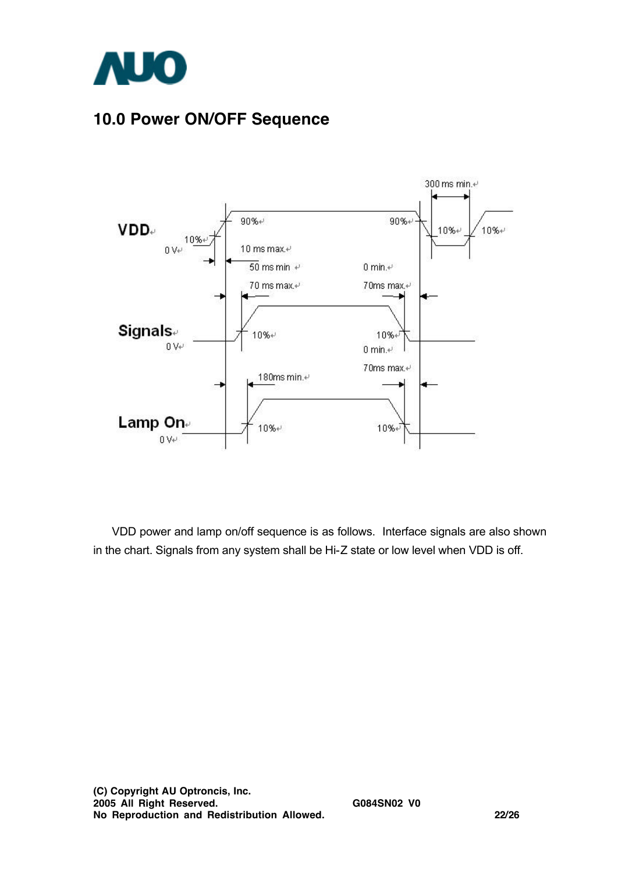

# **10.0 Power ON/OFF Sequence**



VDD power and lamp on/off sequence is as follows. Interface signals are also shown in the chart. Signals from any system shall be Hi-Z state or low level when VDD is off.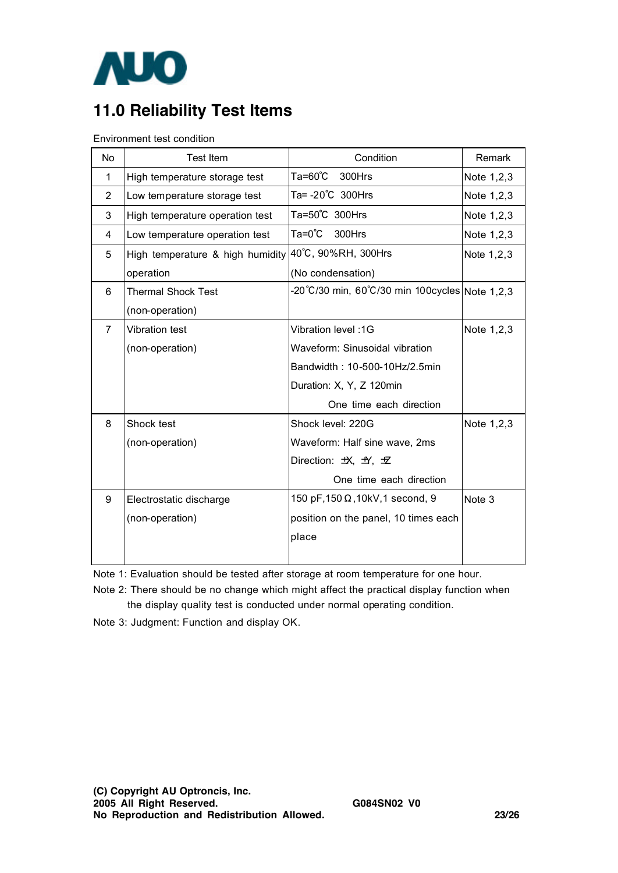

# **11.0 Reliability Test Items**

Environment test condition

| <b>No</b>      | <b>Test Item</b>                 | Condition                                      | Remark       |
|----------------|----------------------------------|------------------------------------------------|--------------|
| 1              | High temperature storage test    | Ta=60°C<br>300Hrs                              | Note 1,2,3   |
| $\overline{2}$ | Low temperature storage test     | Ta= -20°C 300Hrs                               | Note 1,2,3   |
| 3              | High temperature operation test  | Ta=50°C 300Hrs                                 | Note 1,2,3   |
| 4              | Low temperature operation test   | Ta=0℃<br>300Hrs                                | Note 1,2,3   |
| 5              | High temperature & high humidity | 40°C, 90%RH, 300Hrs                            | Note 1, 2, 3 |
|                | operation                        | (No condensation)                              |              |
| 6              | <b>Thermal Shock Test</b>        | -20°C/30 min, 60°C/30 min 100cycles Note 1,2,3 |              |
|                | (non-operation)                  |                                                |              |
| $\overline{7}$ | Vibration test                   | Vibration level: 1G                            | Note 1,2,3   |
|                | (non-operation)                  | Waveform: Sinusoidal vibration                 |              |
|                |                                  | Bandwidth: 10-500-10Hz/2.5min                  |              |
|                |                                  | Duration: X, Y, Z 120min                       |              |
|                |                                  | One time each direction                        |              |
| 8              | Shock test                       | Shock level: 220G                              | Note 1,2,3   |
|                | (non-operation)                  | Waveform: Half sine wave, 2ms                  |              |
|                |                                  | Direction: 坎, 五, 五                             |              |
|                |                                  | One time each direction                        |              |
| 9              | Electrostatic discharge          | 150 pF, 150 Ω, 10kV, 1 second, 9               | Note 3       |
|                | (non-operation)                  | position on the panel, 10 times each           |              |
|                |                                  | place                                          |              |
|                |                                  |                                                |              |

Note 1: Evaluation should be tested after storage at room temperature for one hour.

Note 2: There should be no change which might affect the practical display function when the display quality test is conducted under normal operating condition.

Note 3: Judgment: Function and display OK.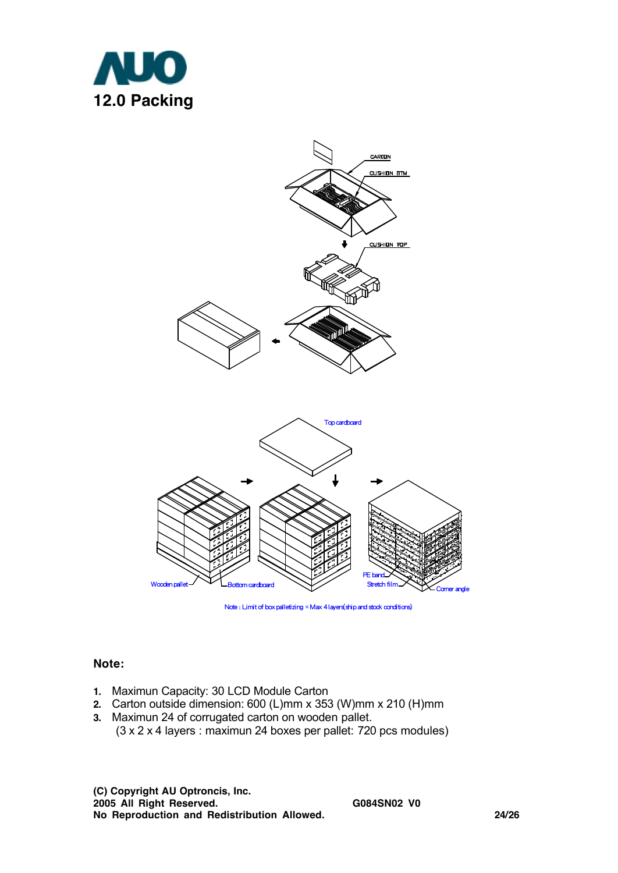



Note : Limit of box palletizing = Max 4 layers(ship and stock conditions)

#### **Note:**

- **1.** Maximun Capacity: 30 LCD Module Carton
- **2.** Carton outside dimension: 600 (L)mm x 353 (W)mm x 210 (H)mm
- **3.** Maximun 24 of corrugated carton on wooden pallet. (3 x 2 x 4 layers : maximun 24 boxes per pallet: 720 pcs modules)

**(C) Copyright AU Optroncis, Inc. 2005 All Right Reserved. G084SN02 V0 No Reproduction and Redistribution Allowed. 24/26**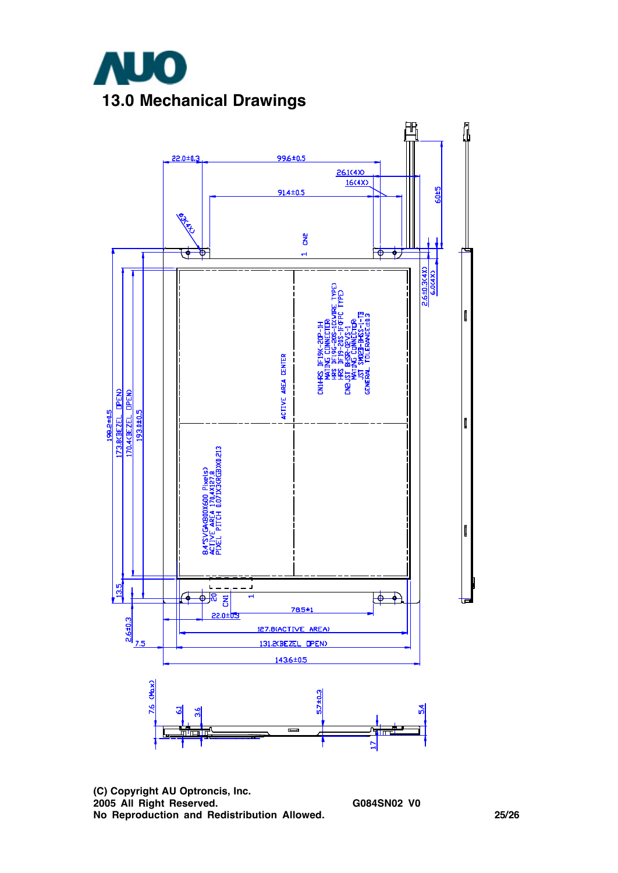